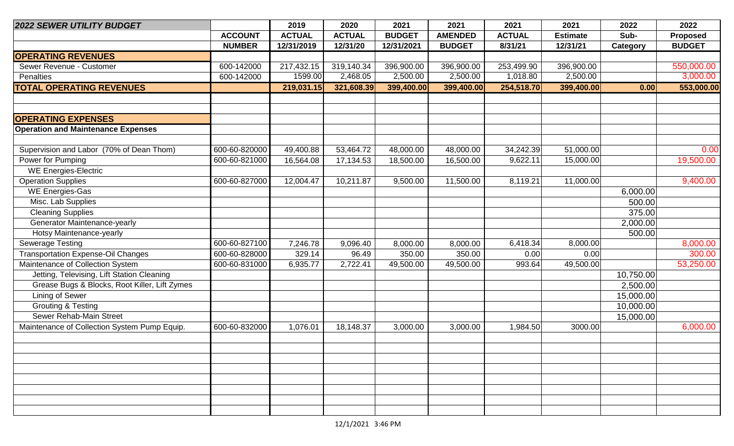| <b>2022 SEWER UTILITY BUDGET</b>              |                | 2019          | 2020          | 2021          | 2021           | 2021          | 2021            | 2022      | 2022            |
|-----------------------------------------------|----------------|---------------|---------------|---------------|----------------|---------------|-----------------|-----------|-----------------|
|                                               | <b>ACCOUNT</b> | <b>ACTUAL</b> | <b>ACTUAL</b> | <b>BUDGET</b> | <b>AMENDED</b> | <b>ACTUAL</b> | <b>Estimate</b> | Sub-      | <b>Proposed</b> |
|                                               | <b>NUMBER</b>  | 12/31/2019    | 12/31/20      | 12/31/2021    | <b>BUDGET</b>  | 8/31/21       | 12/31/21        | Category  | <b>BUDGET</b>   |
| <b>OPERATING REVENUES</b>                     |                |               |               |               |                |               |                 |           |                 |
| Sewer Revenue - Customer                      | 600-142000     | 217,432.15    | 319,140.34    | 396,900.00    | 396,900.00     | 253,499.90    | 396,900.00      |           | 550,000.00      |
| Penalties                                     | 600-142000     | 1599.00       | 2,468.05      | 2,500.00      | 2,500.00       | 1,018.80      | 2,500.00        |           | 3,000.00        |
| <b>TOTAL OPERATING REVENUES</b>               |                | 219,031.15    | 321,608.39    | 399,400.00    | 399,400.00     | 254,518.70    | 399,400.00      | 0.00      | 553,000.00      |
|                                               |                |               |               |               |                |               |                 |           |                 |
|                                               |                |               |               |               |                |               |                 |           |                 |
| <b>OPERATING EXPENSES</b>                     |                |               |               |               |                |               |                 |           |                 |
| <b>Operation and Maintenance Expenses</b>     |                |               |               |               |                |               |                 |           |                 |
|                                               |                |               |               |               |                |               |                 |           |                 |
| Supervision and Labor (70% of Dean Thom)      | 600-60-820000  | 49,400.88     | 53,464.72     | 48,000.00     | 48,000.00      | 34,242.39     | 51,000.00       |           | 0.00            |
| Power for Pumping                             | 600-60-821000  | 16,564.08     | 17,134.53     | 18,500.00     | 16,500.00      | 9,622.11      | 15,000.00       |           | 19,500.00       |
| <b>WE Energies-Electric</b>                   |                |               |               |               |                |               |                 |           |                 |
| <b>Operation Supplies</b>                     | 600-60-827000  | 12,004.47     | 10,211.87     | 9,500.00      | 11,500.00      | 8,119.21      | 11,000.00       |           | 9,400.00        |
| <b>WE Energies-Gas</b>                        |                |               |               |               |                |               |                 | 6,000.00  |                 |
| Misc. Lab Supplies                            |                |               |               |               |                |               |                 | 500.00    |                 |
| <b>Cleaning Supplies</b>                      |                |               |               |               |                |               |                 | 375.00    |                 |
| Generator Maintenance-yearly                  |                |               |               |               |                |               |                 | 2,000.00  |                 |
| Hotsy Maintenance-yearly                      |                |               |               |               |                |               |                 | 500.00    |                 |
| <b>Sewerage Testing</b>                       | 600-60-827100  | 7,246.78      | 9,096.40      | 8,000.00      | 8,000.00       | 6,418.34      | 8,000.00        |           | 8,000.00        |
| <b>Transportation Expense-Oil Changes</b>     | 600-60-828000  | 329.14        | 96.49         | 350.00        | 350.00         | 0.00          | 0.00            |           | 300.00          |
| Maintenance of Collection System              | 600-60-831000  | 6,935.77      | 2,722.41      | 49,500.00     | 49,500.00      | 993.64        | 49,500.00       |           | 53,250.00       |
| Jetting, Televising, Lift Station Cleaning    |                |               |               |               |                |               |                 | 10,750.00 |                 |
| Grease Bugs & Blocks, Root Killer, Lift Zymes |                |               |               |               |                |               |                 | 2,500.00  |                 |
| Lining of Sewer                               |                |               |               |               |                |               |                 | 15,000.00 |                 |
| <b>Grouting &amp; Testing</b>                 |                |               |               |               |                |               |                 | 10,000.00 |                 |
| Sewer Rehab-Main Street                       |                |               |               |               |                |               |                 | 15,000.00 |                 |
| Maintenance of Collection System Pump Equip.  | 600-60-832000  | 1,076.01      | 18,148.37     | 3,000.00      | 3,000.00       | 1,984.50      | 3000.00         |           | 6,000.00        |
|                                               |                |               |               |               |                |               |                 |           |                 |
|                                               |                |               |               |               |                |               |                 |           |                 |
|                                               |                |               |               |               |                |               |                 |           |                 |
|                                               |                |               |               |               |                |               |                 |           |                 |
|                                               |                |               |               |               |                |               |                 |           |                 |
|                                               |                |               |               |               |                |               |                 |           |                 |
|                                               |                |               |               |               |                |               |                 |           |                 |
|                                               |                |               |               |               |                |               |                 |           |                 |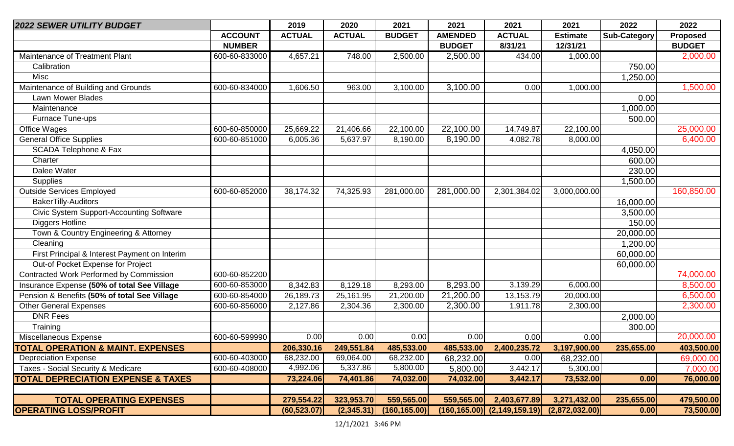| <b>2022 SEWER UTILITY BUDGET</b>               |                | 2019          | 2020          | 2021          | 2021           | 2021                               | 2021            | 2022                | 2022          |
|------------------------------------------------|----------------|---------------|---------------|---------------|----------------|------------------------------------|-----------------|---------------------|---------------|
|                                                | <b>ACCOUNT</b> | <b>ACTUAL</b> | <b>ACTUAL</b> | <b>BUDGET</b> | <b>AMENDED</b> | <b>ACTUAL</b>                      | <b>Estimate</b> | <b>Sub-Category</b> | Proposed      |
|                                                | <b>NUMBER</b>  |               |               |               | <b>BUDGET</b>  | 8/31/21                            | 12/31/21        |                     | <b>BUDGET</b> |
| Maintenance of Treatment Plant                 | 600-60-833000  | 4,657.21      | 748.00        | 2,500.00      | 2,500.00       | 434.00                             | 1,000.00        |                     | 2,000.00      |
| Calibration                                    |                |               |               |               |                |                                    |                 | 750.00              |               |
| Misc                                           |                |               |               |               |                |                                    |                 | 1,250.00            |               |
| Maintenance of Building and Grounds            | 600-60-834000  | 1,606.50      | 963.00        | 3,100.00      | 3,100.00       | 0.00                               | 1,000.00        |                     | 1,500.00      |
| <b>Lawn Mower Blades</b>                       |                |               |               |               |                |                                    |                 | 0.00                |               |
| Maintenance                                    |                |               |               |               |                |                                    |                 | 1,000.00            |               |
| Furnace Tune-ups                               |                |               |               |               |                |                                    |                 | 500.00              |               |
| Office Wages                                   | 600-60-850000  | 25,669.22     | 21,406.66     | 22,100.00     | 22,100.00      | 14,749.87                          | 22,100.00       |                     | 25,000.00     |
| <b>General Office Supplies</b>                 | 600-60-851000  | 6,005.36      | 5,637.97      | 8,190.00      | 8,190.00       | 4,082.78                           | 8,000.00        |                     | 6,400.00      |
| <b>SCADA Telephone &amp; Fax</b>               |                |               |               |               |                |                                    |                 | 4,050.00            |               |
| Charter                                        |                |               |               |               |                |                                    |                 | 600.00              |               |
| Dalee Water                                    |                |               |               |               |                |                                    |                 | 230.00              |               |
| Supplies                                       |                |               |               |               |                |                                    |                 | 1,500.00            |               |
| <b>Outside Services Employed</b>               | 600-60-852000  | 38,174.32     | 74,325.93     | 281,000.00    | 281,000.00     | 2,301,384.02                       | 3,000,000.00    |                     | 160,850.00    |
| <b>BakerTilly-Auditors</b>                     |                |               |               |               |                |                                    |                 | 16,000.00           |               |
| Civic System Support-Accounting Software       |                |               |               |               |                |                                    |                 | 3,500.00            |               |
| <b>Diggers Hotline</b>                         |                |               |               |               |                |                                    |                 | 150.00              |               |
| Town & Country Engineering & Attorney          |                |               |               |               |                |                                    |                 | 20,000.00           |               |
| Cleaning                                       |                |               |               |               |                |                                    |                 | 1,200.00            |               |
| First Principal & Interest Payment on Interim  |                |               |               |               |                |                                    |                 | 60,000.00           |               |
| Out-of Pocket Expense for Project              |                |               |               |               |                |                                    |                 | 60,000.00           |               |
| <b>Contracted Work Performed by Commission</b> | 600-60-852200  |               |               |               |                |                                    |                 |                     | 74,000.00     |
| Insurance Expense (50% of total See Village    | 600-60-853000  | 8,342.83      | 8,129.18      | 8,293.00      | 8,293.00       | 3,139.29                           | 6,000.00        |                     | 8,500.00      |
| Pension & Benefits (50% of total See Village   | 600-60-854000  | 26,189.73     | 25,161.95     | 21,200.00     | 21,200.00      | 13,153.79                          | 20,000.00       |                     | 6,500.00      |
| <b>Other General Expenses</b>                  | 600-60-856000  | 2,127.86      | 2,304.36      | 2,300.00      | 2,300.00       | 1,911.78                           | 2,300.00        |                     | 2,300.00      |
| <b>DNR Fees</b>                                |                |               |               |               |                |                                    |                 | 2,000.00            |               |
| Training                                       |                |               |               |               |                |                                    |                 | 300.00              |               |
| Miscellaneous Expense                          | 600-60-599990  | 0.00          | 0.00          | 0.00          | 0.00           | 0.00                               | 0.00            |                     | 20,000.00     |
| <b>TOTAL OPERATION &amp; MAINT. EXPENSES</b>   |                | 206,330.16    | 249,551.84    | 485,533.00    | 485,533.00     | 2,400,235.72                       | 3,197,900.00    | 235,655.00          | 403,500.00    |
| <b>Depreciation Expense</b>                    | 600-60-403000  | 68,232.00     | 69,064.00     | 68,232.00     | 68,232.00      | 0.00                               | 68,232.00       |                     | 69,000.00     |
| <b>Taxes - Social Security &amp; Medicare</b>  | 600-60-408000  | 4,992.06      | 5,337.86      | 5,800.00      | 5,800.00       | 3,442.17                           | 5,300.00        |                     | 7,000.00      |
| <b>TOTAL DEPRECIATION EXPENSE &amp; TAXES</b>  |                | 73,224.06     | 74,401.86     | 74,032.00     | 74,032.00      | 3,442.17                           | 73,532.00       | 0.00                | 76,000.00     |
|                                                |                |               |               |               |                |                                    |                 |                     |               |
| <b>TOTAL OPERATING EXPENSES</b>                |                | 279,554.22    | 323,953.70    | 559,565.00    | 559,565.00     | 2,403,677.89                       | 3,271,432.00    | 235,655.00          | 479,500.00    |
| <b>OPERATING LOSS/PROFIT</b>                   |                | (60, 523.07)  | (2,345.31)    | (160, 165.00) |                | $(160, 165.00)$ $(2, 149, 159.19)$ | (2,872,032.00)  | 0.00                | 73,500.00     |